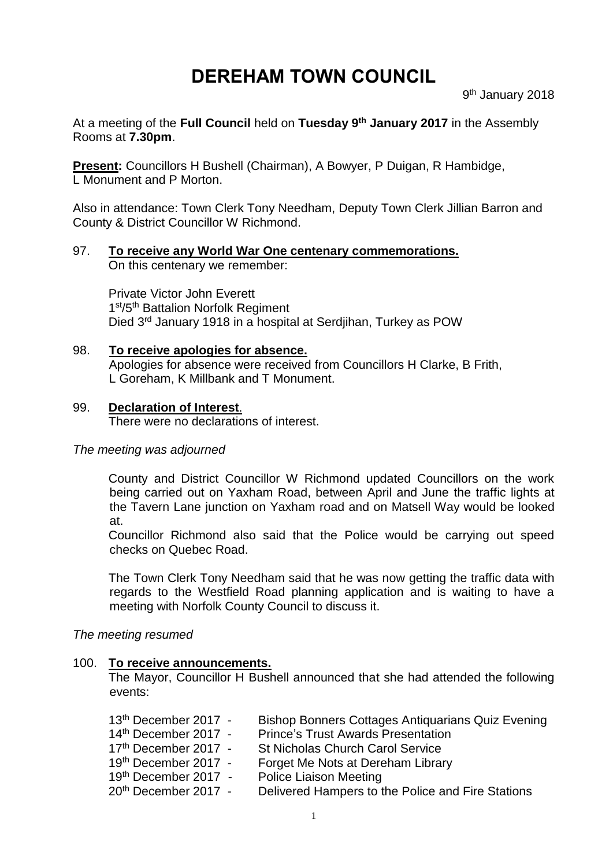# **DEREHAM TOWN COUNCIL**

9<sup>th</sup> January 2018

At a meeting of the **Full Council** held on **Tuesday 9 th January 2017** in the Assembly Rooms at **7.30pm**.

**Present:** Councillors H Bushell (Chairman), A Bowyer, P Duigan, R Hambidge, L Monument and P Morton.

Also in attendance: Town Clerk Tony Needham, Deputy Town Clerk Jillian Barron and County & District Councillor W Richmond.

#### 97. **To receive any World War One centenary commemorations.** On this centenary we remember:

Private Victor John Everett 1st/5th Battalion Norfolk Regiment Died 3<sup>rd</sup> January 1918 in a hospital at Serdjihan, Turkey as POW

98. **To receive apologies for absence.** Apologies for absence were received from Councillors H Clarke, B Frith, L Goreham, K Millbank and T Monument.

## 99. **Declaration of Interest**.

There were no declarations of interest.

## *The meeting was adjourned*

County and District Councillor W Richmond updated Councillors on the work being carried out on Yaxham Road, between April and June the traffic lights at the Tavern Lane junction on Yaxham road and on Matsell Way would be looked at.

Councillor Richmond also said that the Police would be carrying out speed checks on Quebec Road.

The Town Clerk Tony Needham said that he was now getting the traffic data with regards to the Westfield Road planning application and is waiting to have a meeting with Norfolk County Council to discuss it.

## *The meeting resumed*

## 100. **To receive announcements.**

The Mayor, Councillor H Bushell announced that she had attended the following events:

| 13 <sup>th</sup> December 2017 - | <b>Bishop Bonners Cottages Antiquarians Quiz Evening</b> |
|----------------------------------|----------------------------------------------------------|
| 14th December 2017 -             | <b>Prince's Trust Awards Presentation</b>                |
| 17th December 2017 -             | <b>St Nicholas Church Carol Service</b>                  |
| 19th December 2017 -             | Forget Me Nots at Dereham Library                        |
| 19th December 2017 -             | <b>Police Liaison Meeting</b>                            |
| 20 <sup>th</sup> December 2017 - | Delivered Hampers to the Police and Fire Stations        |